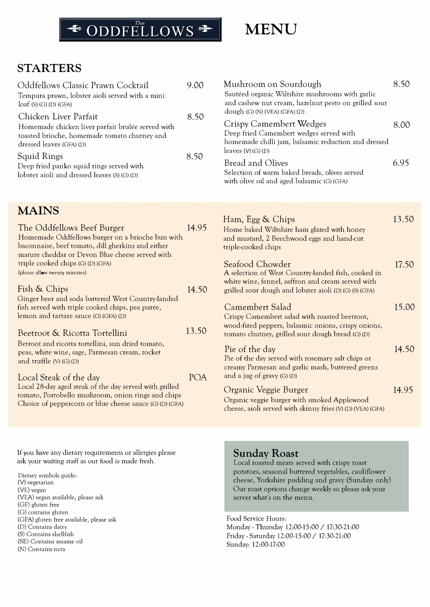# <sup>→</sup> ODDFELLOWS

# **MENU**

Ham, Egg & Chips

## **STARTERS**

| Oddfellows Classic Prawn Cocktail<br>Tempura prawn, lobster aioli served with a mini<br>$\text{log} f$ (S) (G) (D) (GFA)<br>Chicken Liver Parfait | 9.00<br>8.50<br>8.50 | Mushroom on Sourdough<br>Sautéed organic Wiltshire mushrooms with garlic<br>and cashew nut cream, hazelnut pesto on grilled sour<br>dough $(G)$ (N) (VEA) $(GFA)$ (D) | 8.50 |
|---------------------------------------------------------------------------------------------------------------------------------------------------|----------------------|-----------------------------------------------------------------------------------------------------------------------------------------------------------------------|------|
| Homemade chicken liver parfait brulée served with<br>toasted brioche, homemade tomato chutney and<br>dressed leaves (GFA) (D)                     |                      | Crispy Camembert Wedges<br>Deep fried Camembert wedges served with<br>homemade chilli jam, balsamic reduction and dressed<br>leaves $(V)$ (G) (D)                     | 8.00 |
| Squid Rings<br>Deep fried panko squid rings served with<br>lobster aioli and dressed leaves (S) (G) (D)                                           |                      | Bread and Olives<br>Selection of warm baked breads, olives served<br>with olive oil and aged balsamic (G) (GFA)                                                       | 6.95 |

## **MAINS**

| Homemade Oddfellows burger on a brioche bun with<br>and mustard, 2 Beechwood eggs and hand-cut<br>baconnaise, beef tomato, dill gherkins and either<br>triple-cooked chips<br>mature cheddar or Devon Blue cheese served with                                                                                 |       |
|---------------------------------------------------------------------------------------------------------------------------------------------------------------------------------------------------------------------------------------------------------------------------------------------------------------|-------|
| triple cooked chips (G) (D) (GFA)<br>Seafood Chowder<br>(please allow twenty minutes)<br>A selection of West Country-landed fish, cooked in<br>white wine, fennel, saffron and cream served with                                                                                                              | 17.50 |
| Fish & Chips<br>14.50<br>grilled sour dough and lobster aioli (D) (G) (S) (GFA)                                                                                                                                                                                                                               |       |
| Ginger beer and soda battered West Country-landed<br>Camembert Salad<br>fish served with triple cooked chips, pea purée,<br>lemon and tartare sauce (G) (GFA) (D)<br>Crispy Camembert salad with roasted beetroot,<br>wood-fired peppers, balsamic onions, crispy onions,                                     | 15.00 |
| 13.50<br>Beetroot & Ricotta Tortellini<br>tomato chutney, grilled sour dough bread (G) (D)                                                                                                                                                                                                                    |       |
| Betroot and ricotta tortellini, sun dried tomato,<br>Pie of the day<br>peas, white wine, sage, Parmesan cream, rocket<br>Pie of the day served with rosemary salt chips or<br>and truffle $(V)$ $(G)$ $(D)$<br>creamy Parmesan and garlic mash, buttered greens                                               | 14.50 |
| and a jug of gravy $(G)$ $(D)$<br><b>POA</b><br>Local Steak of the day                                                                                                                                                                                                                                        |       |
| Local 28-day aged steak of the day served with grilled<br>Organic Veggie Burger<br>tomato, Portobello mushroom, onion rings and chips<br>Organic veggie burger with smoked Applewood<br>Choice of peppercorn or blue cheese sauce (G) (D) (GFA)<br>cheese, aioli served with skinny fries (V) (D) (VEA) (GFA) | 14.95 |

If you have any dietary requirements or allergies please ask your waiting staff as our food is made fresh.

Dietary symbols guide: (V) vegetarian (VE) vegan (VEA) vegan available, please ask (GF) gluten free (G) contains gluten (GFA) gluten free available, please ask (D) Contains dairy (S) Contains shellfish (SE) Contains sesame oil (N) Contains nuts

#### **Sunday Roast**

Local roasted meats served with crispy roast potatoes, seasonal buttered vegetables, cauliflower cheese, Yorkshire pudding and gravy (Sundays only) Our roast options change weekly so please ask your server what's on the menu.

13.50

Food Service Hours: Monday -Thursday 12:00-15:00 / 17:30-21:00 Friday - Saturday 12:00-15:00 / 17:30-21:00 Sunday: 12:00-17:00